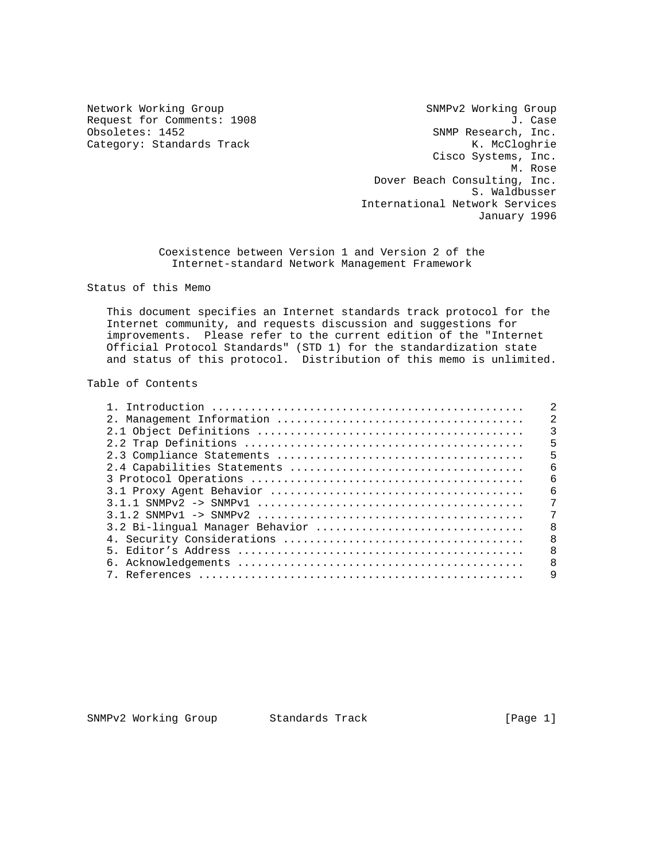Network Working Group SNMPv2 Working Group Request for Comments: 1908 J. Case<br>Obsoletes: 1452 J. Case<br>SNMP Research, Inc. SNMP Research, Inc. Category: Standards Track K. McCloghrie Cisco Systems, Inc. M. Rose Dover Beach Consulting, Inc. S. Waldbusser International Network Services January 1996

> Coexistence between Version 1 and Version 2 of the Internet-standard Network Management Framework

Status of this Memo

 This document specifies an Internet standards track protocol for the Internet community, and requests discussion and suggestions for improvements. Please refer to the current edition of the "Internet Official Protocol Standards" (STD 1) for the standardization state and status of this protocol. Distribution of this memo is unlimited.

#### Table of Contents

|                                 | $\overline{2}$ |
|---------------------------------|----------------|
|                                 |                |
|                                 | 5              |
|                                 | 5              |
|                                 | 6              |
|                                 | 6              |
|                                 | 6              |
|                                 | 7              |
|                                 | 7              |
| 3.2 Bi-lingual Manager Behavior | 8              |
|                                 | 8              |
|                                 | $\mathsf{R}$   |
|                                 | 8              |
|                                 | $\mathsf{Q}$   |

SNMPv2 Working Group Standards Track [Page 1]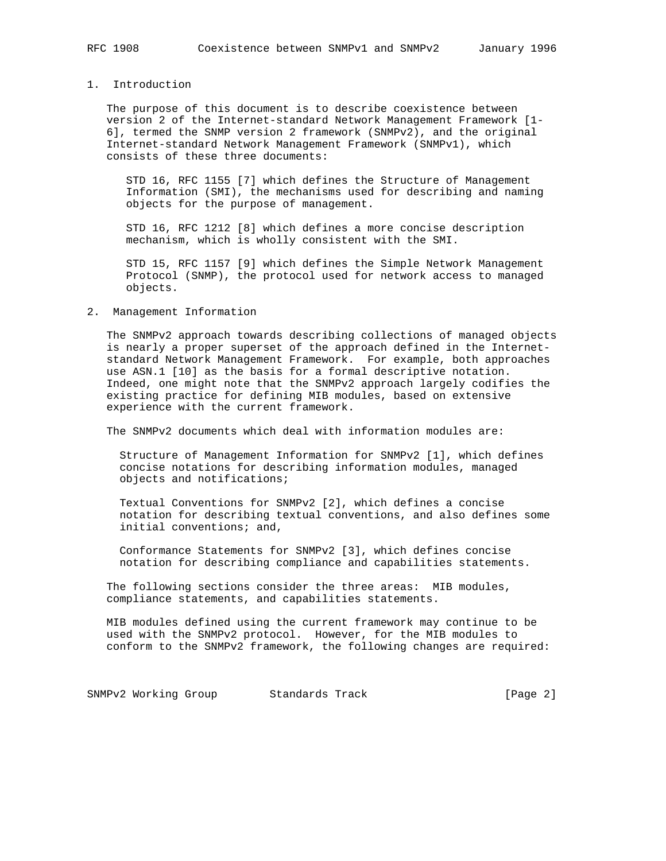# 1. Introduction

 The purpose of this document is to describe coexistence between version 2 of the Internet-standard Network Management Framework [1- 6], termed the SNMP version 2 framework (SNMPv2), and the original Internet-standard Network Management Framework (SNMPv1), which consists of these three documents:

 STD 16, RFC 1155 [7] which defines the Structure of Management Information (SMI), the mechanisms used for describing and naming objects for the purpose of management.

 STD 16, RFC 1212 [8] which defines a more concise description mechanism, which is wholly consistent with the SMI.

 STD 15, RFC 1157 [9] which defines the Simple Network Management Protocol (SNMP), the protocol used for network access to managed objects.

#### 2. Management Information

 The SNMPv2 approach towards describing collections of managed objects is nearly a proper superset of the approach defined in the Internet standard Network Management Framework. For example, both approaches use ASN.1 [10] as the basis for a formal descriptive notation. Indeed, one might note that the SNMPv2 approach largely codifies the existing practice for defining MIB modules, based on extensive experience with the current framework.

The SNMPv2 documents which deal with information modules are:

 Structure of Management Information for SNMPv2 [1], which defines concise notations for describing information modules, managed objects and notifications;

 Textual Conventions for SNMPv2 [2], which defines a concise notation for describing textual conventions, and also defines some initial conventions; and,

 Conformance Statements for SNMPv2 [3], which defines concise notation for describing compliance and capabilities statements.

 The following sections consider the three areas: MIB modules, compliance statements, and capabilities statements.

 MIB modules defined using the current framework may continue to be used with the SNMPv2 protocol. However, for the MIB modules to conform to the SNMPv2 framework, the following changes are required:

SNMPv2 Working Group Standards Track [Page 2]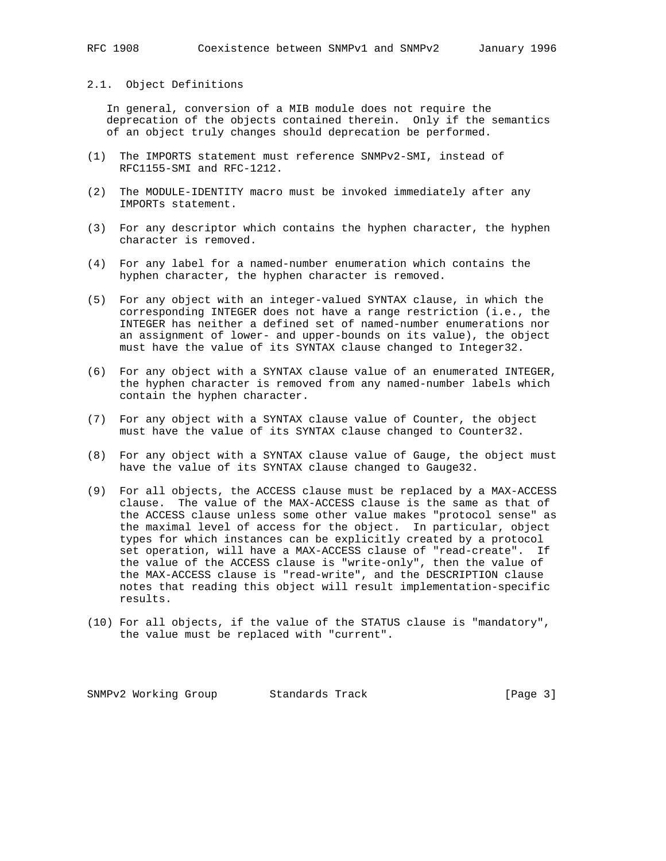## 2.1. Object Definitions

 In general, conversion of a MIB module does not require the deprecation of the objects contained therein. Only if the semantics of an object truly changes should deprecation be performed.

- (1) The IMPORTS statement must reference SNMPv2-SMI, instead of RFC1155-SMI and RFC-1212.
- (2) The MODULE-IDENTITY macro must be invoked immediately after any IMPORTs statement.
- (3) For any descriptor which contains the hyphen character, the hyphen character is removed.
- (4) For any label for a named-number enumeration which contains the hyphen character, the hyphen character is removed.
- (5) For any object with an integer-valued SYNTAX clause, in which the corresponding INTEGER does not have a range restriction (i.e., the INTEGER has neither a defined set of named-number enumerations nor an assignment of lower- and upper-bounds on its value), the object must have the value of its SYNTAX clause changed to Integer32.
- (6) For any object with a SYNTAX clause value of an enumerated INTEGER, the hyphen character is removed from any named-number labels which contain the hyphen character.
- (7) For any object with a SYNTAX clause value of Counter, the object must have the value of its SYNTAX clause changed to Counter32.
- (8) For any object with a SYNTAX clause value of Gauge, the object must have the value of its SYNTAX clause changed to Gauge32.
- (9) For all objects, the ACCESS clause must be replaced by a MAX-ACCESS clause. The value of the MAX-ACCESS clause is the same as that of the ACCESS clause unless some other value makes "protocol sense" as the maximal level of access for the object. In particular, object types for which instances can be explicitly created by a protocol set operation, will have a MAX-ACCESS clause of "read-create". If the value of the ACCESS clause is "write-only", then the value of the MAX-ACCESS clause is "read-write", and the DESCRIPTION clause notes that reading this object will result implementation-specific results.
- (10) For all objects, if the value of the STATUS clause is "mandatory", the value must be replaced with "current".

SNMPv2 Working Group Standards Track [Page 3]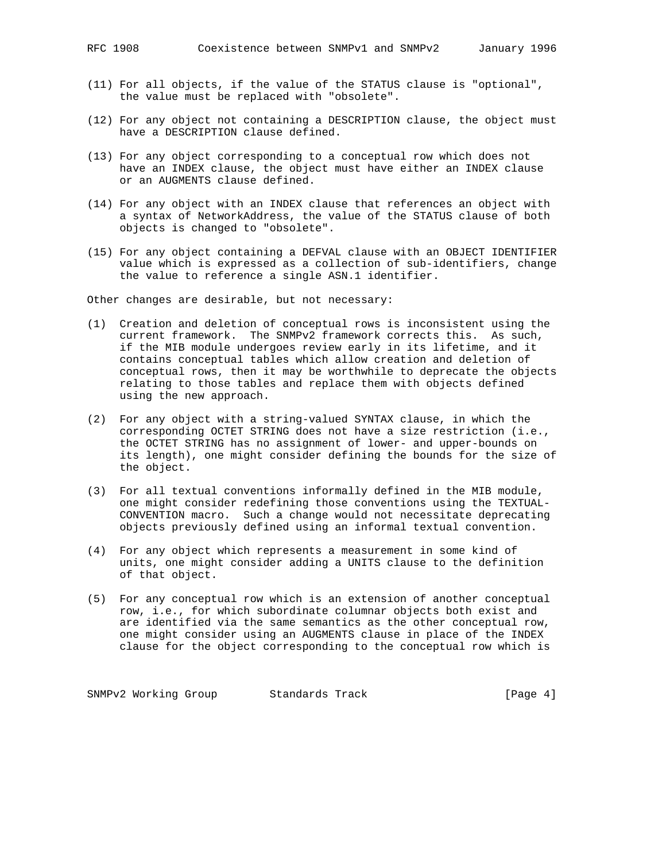- (11) For all objects, if the value of the STATUS clause is "optional", the value must be replaced with "obsolete".
- (12) For any object not containing a DESCRIPTION clause, the object must have a DESCRIPTION clause defined.
- (13) For any object corresponding to a conceptual row which does not have an INDEX clause, the object must have either an INDEX clause or an AUGMENTS clause defined.
- (14) For any object with an INDEX clause that references an object with a syntax of NetworkAddress, the value of the STATUS clause of both objects is changed to "obsolete".
- (15) For any object containing a DEFVAL clause with an OBJECT IDENTIFIER value which is expressed as a collection of sub-identifiers, change the value to reference a single ASN.1 identifier.

Other changes are desirable, but not necessary:

- (1) Creation and deletion of conceptual rows is inconsistent using the current framework. The SNMPv2 framework corrects this. As such, if the MIB module undergoes review early in its lifetime, and it contains conceptual tables which allow creation and deletion of conceptual rows, then it may be worthwhile to deprecate the objects relating to those tables and replace them with objects defined using the new approach.
- (2) For any object with a string-valued SYNTAX clause, in which the corresponding OCTET STRING does not have a size restriction (i.e., the OCTET STRING has no assignment of lower- and upper-bounds on its length), one might consider defining the bounds for the size of the object.
- (3) For all textual conventions informally defined in the MIB module, one might consider redefining those conventions using the TEXTUAL- CONVENTION macro. Such a change would not necessitate deprecating objects previously defined using an informal textual convention.
- (4) For any object which represents a measurement in some kind of units, one might consider adding a UNITS clause to the definition of that object.
- (5) For any conceptual row which is an extension of another conceptual row, i.e., for which subordinate columnar objects both exist and are identified via the same semantics as the other conceptual row, one might consider using an AUGMENTS clause in place of the INDEX clause for the object corresponding to the conceptual row which is

SNMPv2 Working Group Standards Track [Page 4]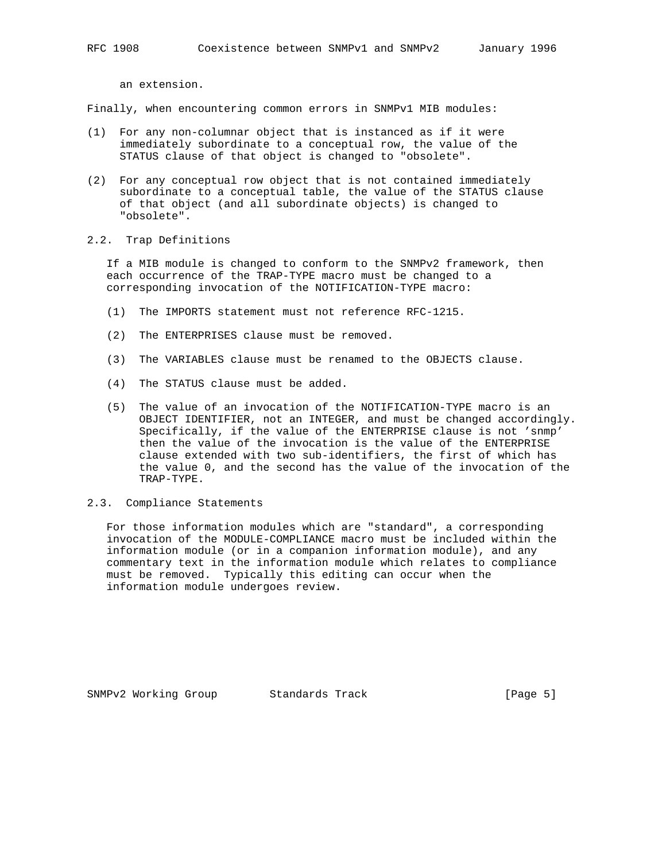an extension.

Finally, when encountering common errors in SNMPv1 MIB modules:

- (1) For any non-columnar object that is instanced as if it were immediately subordinate to a conceptual row, the value of the STATUS clause of that object is changed to "obsolete".
- (2) For any conceptual row object that is not contained immediately subordinate to a conceptual table, the value of the STATUS clause of that object (and all subordinate objects) is changed to "obsolete".
- 2.2. Trap Definitions

 If a MIB module is changed to conform to the SNMPv2 framework, then each occurrence of the TRAP-TYPE macro must be changed to a corresponding invocation of the NOTIFICATION-TYPE macro:

- (1) The IMPORTS statement must not reference RFC-1215.
- (2) The ENTERPRISES clause must be removed.
- (3) The VARIABLES clause must be renamed to the OBJECTS clause.
- (4) The STATUS clause must be added.
- (5) The value of an invocation of the NOTIFICATION-TYPE macro is an OBJECT IDENTIFIER, not an INTEGER, and must be changed accordingly. Specifically, if the value of the ENTERPRISE clause is not 'snmp' then the value of the invocation is the value of the ENTERPRISE clause extended with two sub-identifiers, the first of which has the value 0, and the second has the value of the invocation of the TRAP-TYPE.

## 2.3. Compliance Statements

 For those information modules which are "standard", a corresponding invocation of the MODULE-COMPLIANCE macro must be included within the information module (or in a companion information module), and any commentary text in the information module which relates to compliance must be removed. Typically this editing can occur when the information module undergoes review.

SNMPv2 Working Group Standards Track [Page 5]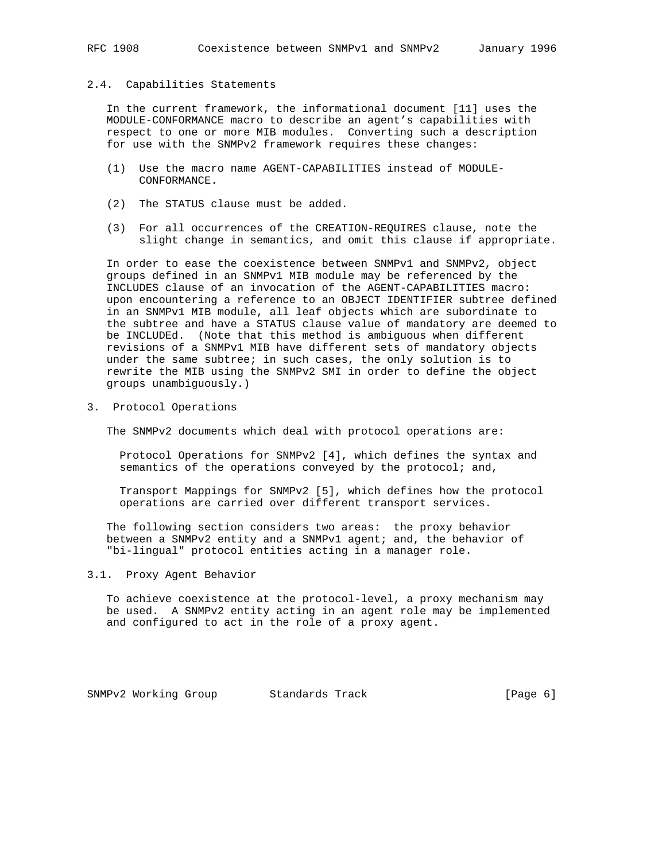#### 2.4. Capabilities Statements

 In the current framework, the informational document [11] uses the MODULE-CONFORMANCE macro to describe an agent's capabilities with respect to one or more MIB modules. Converting such a description for use with the SNMPv2 framework requires these changes:

- (1) Use the macro name AGENT-CAPABILITIES instead of MODULE- CONFORMANCE.
- (2) The STATUS clause must be added.
- (3) For all occurrences of the CREATION-REQUIRES clause, note the slight change in semantics, and omit this clause if appropriate.

 In order to ease the coexistence between SNMPv1 and SNMPv2, object groups defined in an SNMPv1 MIB module may be referenced by the INCLUDES clause of an invocation of the AGENT-CAPABILITIES macro: upon encountering a reference to an OBJECT IDENTIFIER subtree defined in an SNMPv1 MIB module, all leaf objects which are subordinate to the subtree and have a STATUS clause value of mandatory are deemed to be INCLUDEd. (Note that this method is ambiguous when different revisions of a SNMPv1 MIB have different sets of mandatory objects under the same subtree; in such cases, the only solution is to rewrite the MIB using the SNMPv2 SMI in order to define the object groups unambiguously.)

3. Protocol Operations

The SNMPv2 documents which deal with protocol operations are:

 Protocol Operations for SNMPv2 [4], which defines the syntax and semantics of the operations conveyed by the protocol; and,

 Transport Mappings for SNMPv2 [5], which defines how the protocol operations are carried over different transport services.

 The following section considers two areas: the proxy behavior between a SNMPv2 entity and a SNMPv1 agent; and, the behavior of "bi-lingual" protocol entities acting in a manager role.

## 3.1. Proxy Agent Behavior

 To achieve coexistence at the protocol-level, a proxy mechanism may be used. A SNMPv2 entity acting in an agent role may be implemented and configured to act in the role of a proxy agent.

SNMPv2 Working Group Standards Track [Page 6]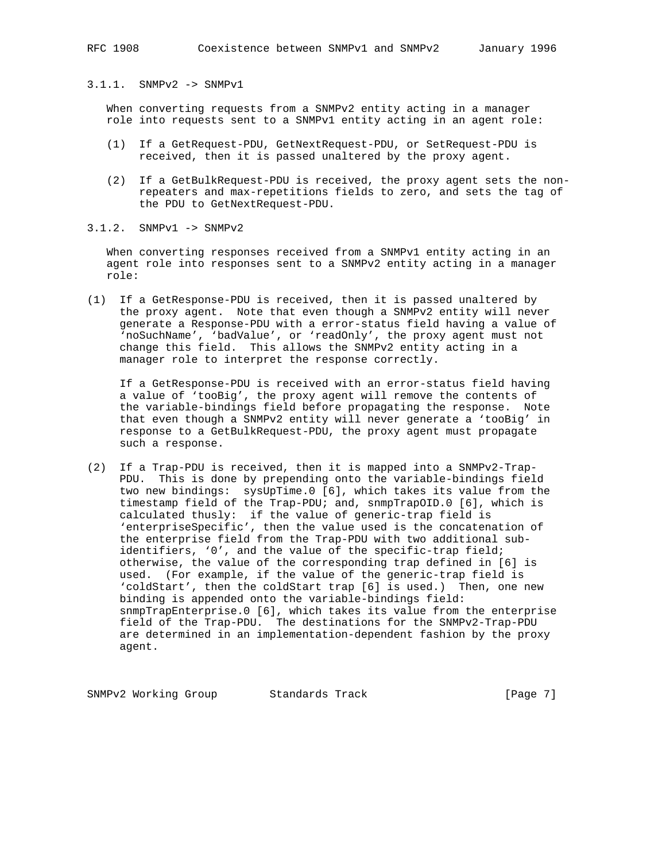3.1.1. SNMPv2 -> SNMPv1

 When converting requests from a SNMPv2 entity acting in a manager role into requests sent to a SNMPv1 entity acting in an agent role:

- (1) If a GetRequest-PDU, GetNextRequest-PDU, or SetRequest-PDU is received, then it is passed unaltered by the proxy agent.
- (2) If a GetBulkRequest-PDU is received, the proxy agent sets the non repeaters and max-repetitions fields to zero, and sets the tag of the PDU to GetNextRequest-PDU.

3.1.2. SNMPv1 -> SNMPv2

 When converting responses received from a SNMPv1 entity acting in an agent role into responses sent to a SNMPv2 entity acting in a manager role:

(1) If a GetResponse-PDU is received, then it is passed unaltered by the proxy agent. Note that even though a SNMPv2 entity will never generate a Response-PDU with a error-status field having a value of 'noSuchName', 'badValue', or 'readOnly', the proxy agent must not change this field. This allows the SNMPv2 entity acting in a manager role to interpret the response correctly.

 If a GetResponse-PDU is received with an error-status field having a value of 'tooBig', the proxy agent will remove the contents of the variable-bindings field before propagating the response. Note that even though a SNMPv2 entity will never generate a 'tooBig' in response to a GetBulkRequest-PDU, the proxy agent must propagate such a response.

(2) If a Trap-PDU is received, then it is mapped into a SNMPv2-Trap- PDU. This is done by prepending onto the variable-bindings field two new bindings: sysUpTime.0 [6], which takes its value from the timestamp field of the Trap-PDU; and, snmpTrapOID.0 [6], which is calculated thusly: if the value of generic-trap field is 'enterpriseSpecific', then the value used is the concatenation of the enterprise field from the Trap-PDU with two additional sub identifiers, '0', and the value of the specific-trap field; otherwise, the value of the corresponding trap defined in [6] is used. (For example, if the value of the generic-trap field is 'coldStart', then the coldStart trap [6] is used.) Then, one new binding is appended onto the variable-bindings field: snmpTrapEnterprise.0 [6], which takes its value from the enterprise field of the Trap-PDU. The destinations for the SNMPv2-Trap-PDU are determined in an implementation-dependent fashion by the proxy agent.

SNMPv2 Working Group Standards Track [Page 7]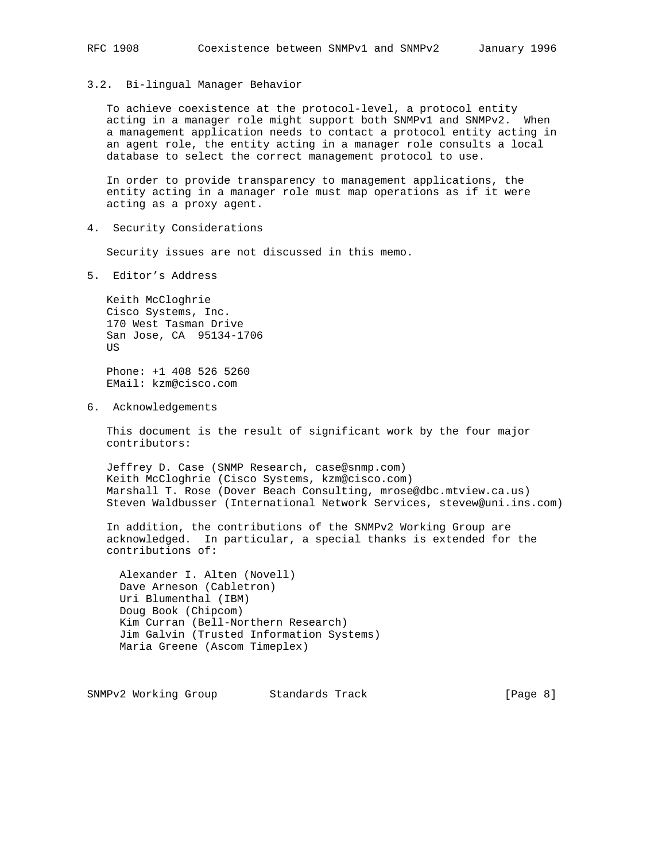3.2. Bi-lingual Manager Behavior

 To achieve coexistence at the protocol-level, a protocol entity acting in a manager role might support both SNMPv1 and SNMPv2. When a management application needs to contact a protocol entity acting in an agent role, the entity acting in a manager role consults a local database to select the correct management protocol to use.

 In order to provide transparency to management applications, the entity acting in a manager role must map operations as if it were acting as a proxy agent.

4. Security Considerations

Security issues are not discussed in this memo.

5. Editor's Address

 Keith McCloghrie Cisco Systems, Inc. 170 West Tasman Drive San Jose, CA 95134-1706 US

 Phone: +1 408 526 5260 EMail: kzm@cisco.com

6. Acknowledgements

 This document is the result of significant work by the four major contributors:

 Jeffrey D. Case (SNMP Research, case@snmp.com) Keith McCloghrie (Cisco Systems, kzm@cisco.com) Marshall T. Rose (Dover Beach Consulting, mrose@dbc.mtview.ca.us) Steven Waldbusser (International Network Services, stevew@uni.ins.com)

 In addition, the contributions of the SNMPv2 Working Group are acknowledged. In particular, a special thanks is extended for the contributions of:

 Alexander I. Alten (Novell) Dave Arneson (Cabletron) Uri Blumenthal (IBM) Doug Book (Chipcom) Kim Curran (Bell-Northern Research) Jim Galvin (Trusted Information Systems) Maria Greene (Ascom Timeplex)

SNMPv2 Working Group Standards Track [Page 8]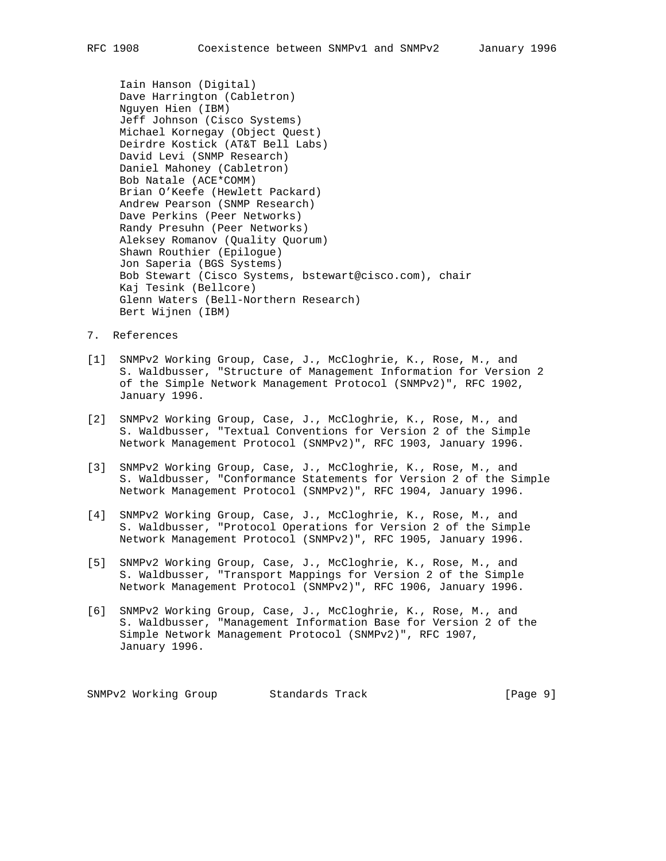Iain Hanson (Digital) Dave Harrington (Cabletron) Nguyen Hien (IBM) Jeff Johnson (Cisco Systems) Michael Kornegay (Object Quest) Deirdre Kostick (AT&T Bell Labs) David Levi (SNMP Research) Daniel Mahoney (Cabletron) Bob Natale (ACE\*COMM) Brian O'Keefe (Hewlett Packard) Andrew Pearson (SNMP Research) Dave Perkins (Peer Networks) Randy Presuhn (Peer Networks) Aleksey Romanov (Quality Quorum) Shawn Routhier (Epilogue) Jon Saperia (BGS Systems) Bob Stewart (Cisco Systems, bstewart@cisco.com), chair Kaj Tesink (Bellcore) Glenn Waters (Bell-Northern Research) Bert Wijnen (IBM)

- 7. References
- [1] SNMPv2 Working Group, Case, J., McCloghrie, K., Rose, M., and S. Waldbusser, "Structure of Management Information for Version 2 of the Simple Network Management Protocol (SNMPv2)", RFC 1902, January 1996.
- [2] SNMPv2 Working Group, Case, J., McCloghrie, K., Rose, M., and S. Waldbusser, "Textual Conventions for Version 2 of the Simple Network Management Protocol (SNMPv2)", RFC 1903, January 1996.
- [3] SNMPv2 Working Group, Case, J., McCloghrie, K., Rose, M., and S. Waldbusser, "Conformance Statements for Version 2 of the Simple Network Management Protocol (SNMPv2)", RFC 1904, January 1996.
- [4] SNMPv2 Working Group, Case, J., McCloghrie, K., Rose, M., and S. Waldbusser, "Protocol Operations for Version 2 of the Simple Network Management Protocol (SNMPv2)", RFC 1905, January 1996.
- [5] SNMPv2 Working Group, Case, J., McCloghrie, K., Rose, M., and S. Waldbusser, "Transport Mappings for Version 2 of the Simple Network Management Protocol (SNMPv2)", RFC 1906, January 1996.
- [6] SNMPv2 Working Group, Case, J., McCloghrie, K., Rose, M., and S. Waldbusser, "Management Information Base for Version 2 of the Simple Network Management Protocol (SNMPv2)", RFC 1907, January 1996.

SNMPv2 Working Group Standards Track [Page 9]